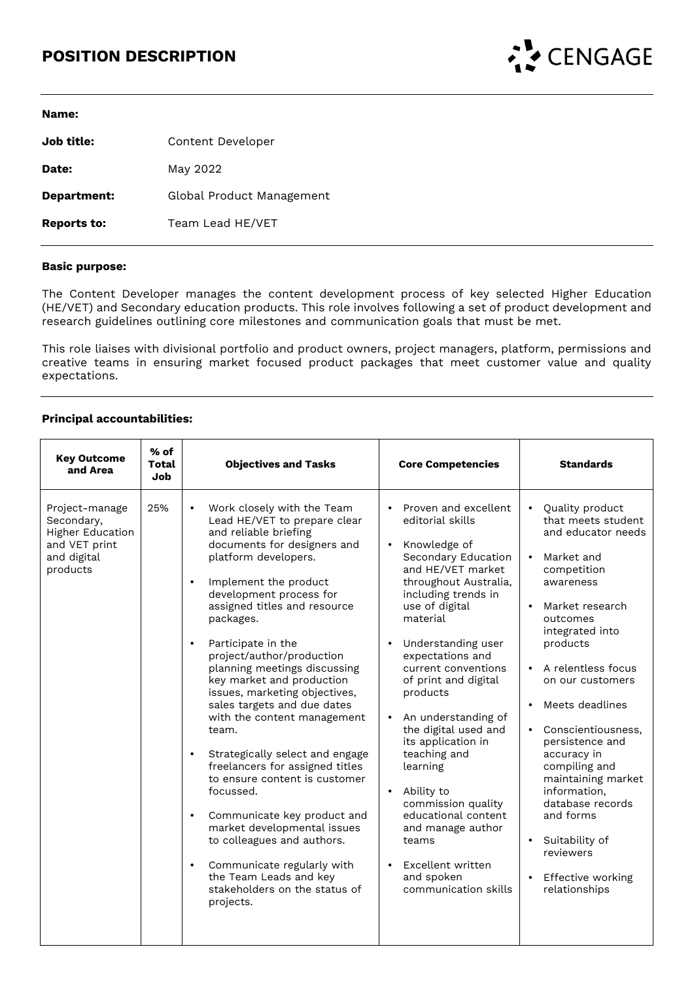# **POSITION DESCRIPTION**



| Name:              |                           |
|--------------------|---------------------------|
| Job title:         | Content Developer         |
| <b>Date:</b>       | May 2022                  |
| Department:        | Global Product Management |
| <b>Reports to:</b> | Team Lead HE/VET          |

### **Basic purpose:**

The Content Developer manages the content development process of key selected Higher Education (HE/VET) and Secondary education products. This role involves following a set of product development and research guidelines outlining core milestones and communication goals that must be met.

This role liaises with divisional portfolio and product owners, project managers, platform, permissions and creative teams in ensuring market focused product packages that meet customer value and quality expectations.

### **Principal accountabilities:**

| <b>Key Outcome</b><br>and Area                                                               | $%$ of<br>Total<br>Job | <b>Objectives and Tasks</b>                                                                                                                                                                                                                                                                                                                                                                                                                                                                                                                                                                                                                                                                                                                                                                                                                                             | <b>Core Competencies</b>                                                                                                                                                                                                                                                                                                                                                                                                                                                                                                                                                                                                   | <b>Standards</b>                                                                                                                                                                                                                                                                                                                                                                                                                                                                                                                      |
|----------------------------------------------------------------------------------------------|------------------------|-------------------------------------------------------------------------------------------------------------------------------------------------------------------------------------------------------------------------------------------------------------------------------------------------------------------------------------------------------------------------------------------------------------------------------------------------------------------------------------------------------------------------------------------------------------------------------------------------------------------------------------------------------------------------------------------------------------------------------------------------------------------------------------------------------------------------------------------------------------------------|----------------------------------------------------------------------------------------------------------------------------------------------------------------------------------------------------------------------------------------------------------------------------------------------------------------------------------------------------------------------------------------------------------------------------------------------------------------------------------------------------------------------------------------------------------------------------------------------------------------------------|---------------------------------------------------------------------------------------------------------------------------------------------------------------------------------------------------------------------------------------------------------------------------------------------------------------------------------------------------------------------------------------------------------------------------------------------------------------------------------------------------------------------------------------|
| Project-manage<br>Secondary,<br>Higher Education<br>and VET print<br>and digital<br>products | 25%                    | Work closely with the Team<br>$\bullet$<br>Lead HE/VET to prepare clear<br>and reliable briefing<br>documents for designers and<br>platform developers.<br>Implement the product<br>$\bullet$<br>development process for<br>assigned titles and resource<br>packages.<br>Participate in the<br>$\bullet$<br>project/author/production<br>planning meetings discussing<br>key market and production<br>issues, marketing objectives,<br>sales targets and due dates<br>with the content management<br>team.<br>Strategically select and engage<br>$\bullet$<br>freelancers for assigned titles<br>to ensure content is customer<br>focussed.<br>Communicate key product and<br>$\bullet$<br>market developmental issues<br>to colleagues and authors.<br>Communicate regularly with<br>$\bullet$<br>the Team Leads and key<br>stakeholders on the status of<br>projects. | Proven and excellent<br>$\bullet$<br>editorial skills<br>Knowledge of<br>$\bullet$<br>Secondary Education<br>and HE/VET market<br>throughout Australia,<br>including trends in<br>use of digital<br>material<br>Understanding user<br>$\bullet$<br>expectations and<br>current conventions<br>of print and digital<br>products<br>An understanding of<br>$\bullet$<br>the digital used and<br>its application in<br>teaching and<br>learning<br>Ability to<br>$\bullet$<br>commission quality<br>educational content<br>and manage author<br>teams<br>Excellent written<br>$\bullet$<br>and spoken<br>communication skills | Quality product<br>$\bullet$<br>that meets student<br>and educator needs<br>Market and<br>$\bullet$<br>competition<br>awareness<br>Market research<br>outcomes<br>integrated into<br>products<br>A relentless focus<br>$\bullet$<br>on our customers<br>Meets deadlines<br>$\bullet$<br>Conscientiousness,<br>$\bullet$<br>persistence and<br>accuracy in<br>compiling and<br>maintaining market<br>information.<br>database records<br>and forms<br>• Suitability of<br>reviewers<br>Effective working<br>$\bullet$<br>relationships |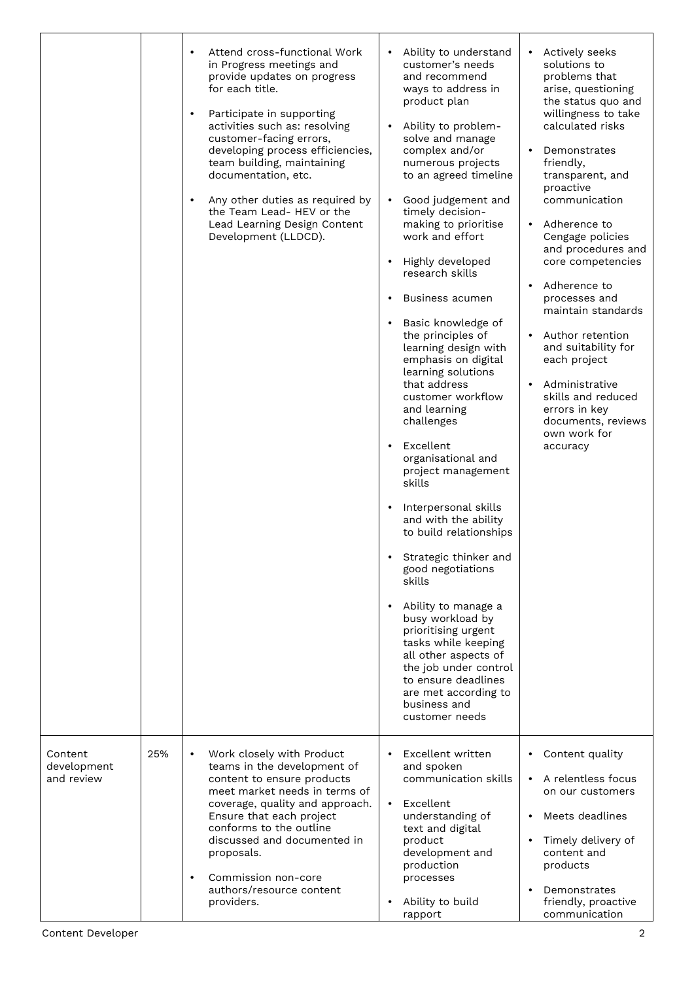|                                      |     | Attend cross-functional Work<br>$\bullet$<br>in Progress meetings and<br>provide updates on progress<br>for each title.<br>Participate in supporting<br>$\bullet$<br>activities such as: resolving<br>customer-facing errors,<br>developing process efficiencies,<br>team building, maintaining<br>documentation, etc.<br>Any other duties as required by<br>$\bullet$<br>the Team Lead- HEV or the<br>Lead Learning Design Content<br>Development (LLDCD). | Ability to understand<br>$\bullet$<br>customer's needs<br>and recommend<br>ways to address in<br>product plan<br>Ability to problem-<br>$\bullet$<br>solve and manage<br>complex and/or<br>numerous projects<br>to an agreed timeline<br>Good judgement and<br>$\bullet$<br>timely decision-<br>making to prioritise<br>work and effort<br>Highly developed<br>research skills<br>Business acumen<br>Basic knowledge of<br>$\bullet$<br>the principles of<br>learning design with<br>emphasis on digital<br>learning solutions<br>that address<br>customer workflow<br>and learning<br>challenges<br>Excellent<br>$\bullet$<br>organisational and<br>project management<br>skills<br>Interpersonal skills<br>and with the ability<br>to build relationships<br>Strategic thinker and<br>good negotiations<br>skills<br>Ability to manage a<br>busy workload by<br>prioritising urgent<br>tasks while keeping<br>all other aspects of<br>the job under control<br>to ensure deadlines<br>are met according to<br>business and<br>customer needs | Actively seeks<br>$\bullet$<br>solutions to<br>problems that<br>arise, questioning<br>the status quo and<br>willingness to take<br>calculated risks<br>Demonstrates<br>friendly,<br>transparent, and<br>proactive<br>communication<br>Adherence to<br>Cengage policies<br>and procedures and<br>core competencies<br>Adherence to<br>processes and<br>maintain standards<br>Author retention<br>and suitability for<br>each project<br>Administrative<br>skills and reduced<br>errors in key<br>documents, reviews<br>own work for<br>accuracy |
|--------------------------------------|-----|-------------------------------------------------------------------------------------------------------------------------------------------------------------------------------------------------------------------------------------------------------------------------------------------------------------------------------------------------------------------------------------------------------------------------------------------------------------|------------------------------------------------------------------------------------------------------------------------------------------------------------------------------------------------------------------------------------------------------------------------------------------------------------------------------------------------------------------------------------------------------------------------------------------------------------------------------------------------------------------------------------------------------------------------------------------------------------------------------------------------------------------------------------------------------------------------------------------------------------------------------------------------------------------------------------------------------------------------------------------------------------------------------------------------------------------------------------------------------------------------------------------------|------------------------------------------------------------------------------------------------------------------------------------------------------------------------------------------------------------------------------------------------------------------------------------------------------------------------------------------------------------------------------------------------------------------------------------------------------------------------------------------------------------------------------------------------|
| Content<br>development<br>and review | 25% | Work closely with Product<br>$\bullet$<br>teams in the development of<br>content to ensure products<br>meet market needs in terms of<br>coverage, quality and approach.<br>Ensure that each project<br>conforms to the outline<br>discussed and documented in<br>proposals.<br>Commission non-core<br>$\bullet$<br>authors/resource content<br>providers.                                                                                                   | Excellent written<br>and spoken<br>communication skills<br>Excellent<br>$\bullet$<br>understanding of<br>text and digital<br>product<br>development and<br>production<br>processes<br>Ability to build<br>$\bullet$<br>rapport                                                                                                                                                                                                                                                                                                                                                                                                                                                                                                                                                                                                                                                                                                                                                                                                                 | Content quality<br>$\bullet$<br>A relentless focus<br>on our customers<br>Meets deadlines<br>Timely delivery of<br>$\bullet$<br>content and<br>products<br>Demonstrates<br>friendly, proactive<br>communication                                                                                                                                                                                                                                                                                                                                |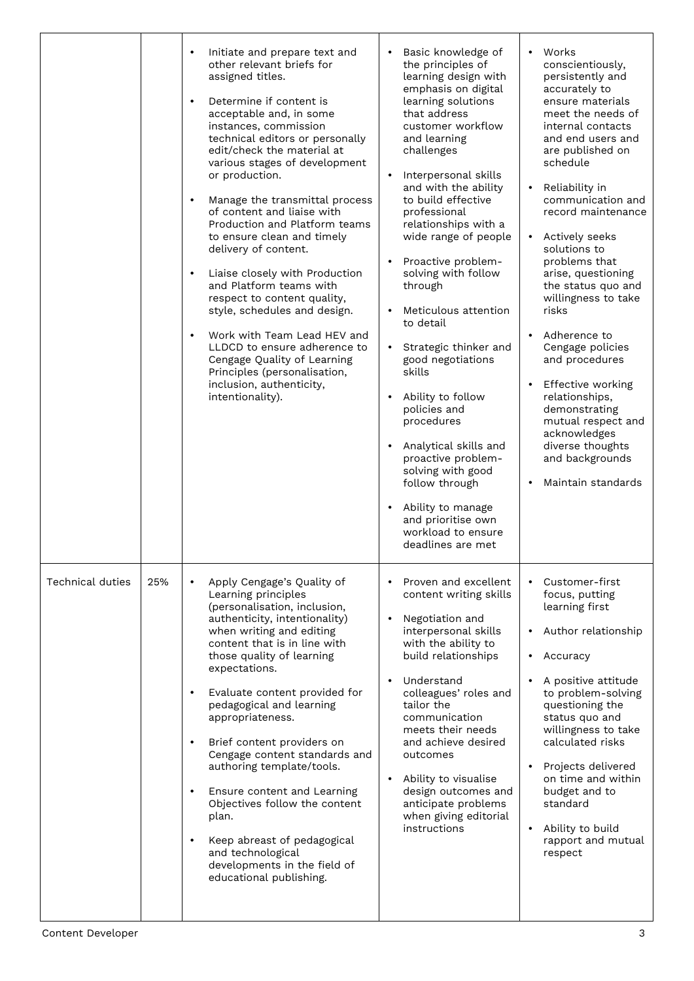|                  |     | Initiate and prepare text and<br>$\bullet$<br>other relevant briefs for<br>assigned titles.<br>Determine if content is<br>$\bullet$<br>acceptable and, in some<br>instances, commission<br>technical editors or personally<br>edit/check the material at<br>various stages of development<br>or production.<br>Manage the transmittal process<br>$\bullet$<br>of content and liaise with<br>Production and Platform teams<br>to ensure clean and timely<br>delivery of content.<br>Liaise closely with Production<br>$\bullet$<br>and Platform teams with<br>respect to content quality,<br>style, schedules and design.<br>Work with Team Lead HEV and<br>LLDCD to ensure adherence to<br>Cengage Quality of Learning<br>Principles (personalisation,<br>inclusion, authenticity,<br>intentionality). | Basic knowledge of<br>Works<br>$\bullet$<br>the principles of<br>conscientiously,<br>learning design with<br>persistently and<br>emphasis on digital<br>accurately to<br>learning solutions<br>ensure materials<br>that address<br>meet the needs of<br>customer workflow<br>internal contacts<br>and end users and<br>and learning<br>challenges<br>are published on<br>schedule<br>Interpersonal skills<br>and with the ability<br>Reliability in<br>to build effective<br>communication and<br>record maintenance<br>professional<br>relationships with a<br>wide range of people<br>Actively seeks<br>solutions to<br>Proactive problem-<br>problems that<br>$\bullet$<br>solving with follow<br>arise, questioning<br>through<br>the status quo and<br>willingness to take<br>Meticulous attention<br>risks<br>to detail<br>Adherence to<br>• Strategic thinker and<br>Cengage policies<br>good negotiations<br>and procedures<br>skills<br>Effective working<br>Ability to follow<br>relationships,<br>policies and<br>demonstrating<br>procedures<br>mutual respect and<br>acknowledges<br>Analytical skills and<br>diverse thoughts<br>proactive problem-<br>and backgrounds<br>solving with good<br>Maintain standards<br>follow through<br>Ability to manage<br>and prioritise own<br>workload to ensure<br>deadlines are met |
|------------------|-----|--------------------------------------------------------------------------------------------------------------------------------------------------------------------------------------------------------------------------------------------------------------------------------------------------------------------------------------------------------------------------------------------------------------------------------------------------------------------------------------------------------------------------------------------------------------------------------------------------------------------------------------------------------------------------------------------------------------------------------------------------------------------------------------------------------|-----------------------------------------------------------------------------------------------------------------------------------------------------------------------------------------------------------------------------------------------------------------------------------------------------------------------------------------------------------------------------------------------------------------------------------------------------------------------------------------------------------------------------------------------------------------------------------------------------------------------------------------------------------------------------------------------------------------------------------------------------------------------------------------------------------------------------------------------------------------------------------------------------------------------------------------------------------------------------------------------------------------------------------------------------------------------------------------------------------------------------------------------------------------------------------------------------------------------------------------------------------------------------------------------------------------------------------------|
| Technical duties | 25% | Apply Cengage's Quality of<br>$\bullet$<br>Learning principles<br>(personalisation, inclusion,<br>authenticity, intentionality)<br>when writing and editing<br>content that is in line with<br>those quality of learning<br>expectations.<br>Evaluate content provided for<br>$\bullet$<br>pedagogical and learning<br>appropriateness.<br>Brief content providers on<br>$\bullet$<br>Cengage content standards and<br>authoring template/tools.<br>Ensure content and Learning<br>$\bullet$<br>Objectives follow the content<br>plan.<br>Keep abreast of pedagogical<br>$\bullet$<br>and technological<br>developments in the field of<br>educational publishing.                                                                                                                                     | Proven and excellent<br>Customer-first<br>content writing skills<br>focus, putting<br>learning first<br>Negotiation and<br>$\bullet$<br>interpersonal skills<br>Author relationship<br>with the ability to<br>build relationships<br>Accuracy<br>Understand<br>A positive attitude<br>colleagues' roles and<br>to problem-solving<br>tailor the<br>questioning the<br>status quo and<br>communication<br>willingness to take<br>meets their needs<br>calculated risks<br>and achieve desired<br>outcomes<br>Projects delivered<br>Ability to visualise<br>on time and within<br>$\bullet$<br>design outcomes and<br>budget and to<br>anticipate problems<br>standard<br>when giving editorial<br>instructions<br>Ability to build<br>$\bullet$<br>rapport and mutual<br>respect                                                                                                                                                                                                                                                                                                                                                                                                                                                                                                                                                         |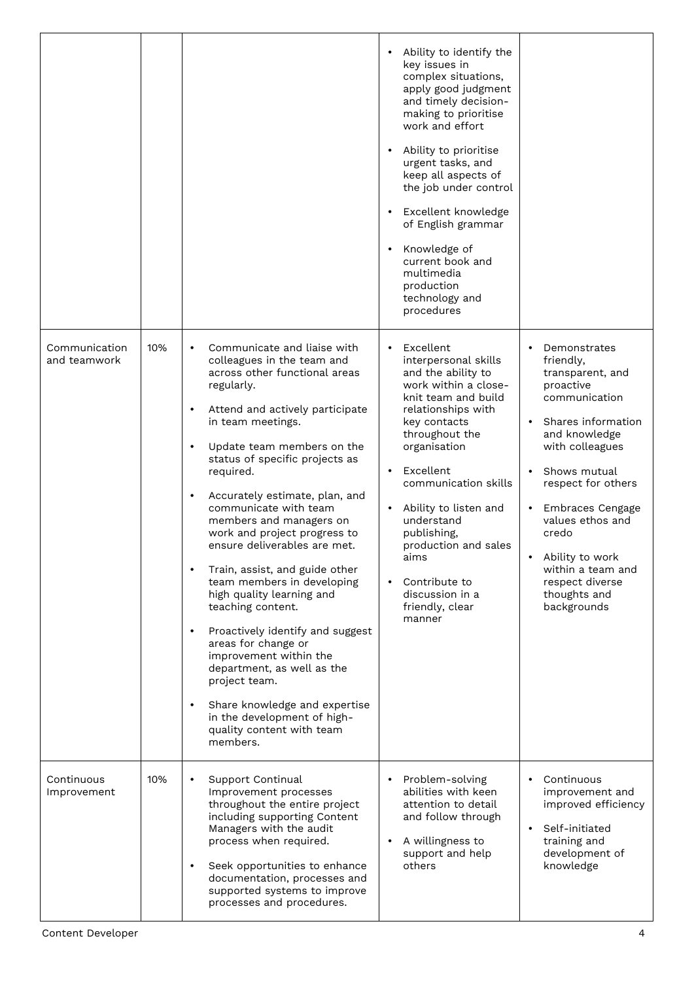|                               |     |                                                                                                                                                                                                                                                                                                                                                                                                                                                                                                                                                                                                                                                                                                                                                                                                                                                               | Ability to identify the<br>$\bullet$<br>key issues in<br>complex situations,<br>apply good judgment<br>and timely decision-<br>making to prioritise<br>work and effort<br>Ability to prioritise<br>$\bullet$<br>urgent tasks, and<br>keep all aspects of<br>the job under control<br>Excellent knowledge<br>$\bullet$<br>of English grammar<br>Knowledge of<br>$\bullet$<br>current book and<br>multimedia<br>production<br>technology and<br>procedures |                                                                                                                                                                                                                                                                                                                        |
|-------------------------------|-----|---------------------------------------------------------------------------------------------------------------------------------------------------------------------------------------------------------------------------------------------------------------------------------------------------------------------------------------------------------------------------------------------------------------------------------------------------------------------------------------------------------------------------------------------------------------------------------------------------------------------------------------------------------------------------------------------------------------------------------------------------------------------------------------------------------------------------------------------------------------|----------------------------------------------------------------------------------------------------------------------------------------------------------------------------------------------------------------------------------------------------------------------------------------------------------------------------------------------------------------------------------------------------------------------------------------------------------|------------------------------------------------------------------------------------------------------------------------------------------------------------------------------------------------------------------------------------------------------------------------------------------------------------------------|
| Communication<br>and teamwork | 10% | Communicate and liaise with<br>$\bullet$<br>colleagues in the team and<br>across other functional areas<br>regularly.<br>Attend and actively participate<br>$\bullet$<br>in team meetings.<br>Update team members on the<br>$\bullet$<br>status of specific projects as<br>required.<br>Accurately estimate, plan, and<br>$\bullet$<br>communicate with team<br>members and managers on<br>work and project progress to<br>ensure deliverables are met.<br>Train, assist, and guide other<br>$\bullet$<br>team members in developing<br>high quality learning and<br>teaching content.<br>Proactively identify and suggest<br>$\bullet$<br>areas for change or<br>improvement within the<br>department, as well as the<br>project team.<br>Share knowledge and expertise<br>$\bullet$<br>in the development of high-<br>quality content with team<br>members. | Excellent<br>$\bullet$<br>interpersonal skills<br>and the ability to<br>work within a close-<br>knit team and build<br>relationships with<br>key contacts<br>throughout the<br>organisation<br>Excellent<br>$\bullet$<br>communication skills<br>Ability to listen and<br>$\bullet$<br>understand<br>publishing,<br>production and sales<br>aims<br>Contribute to<br>$\bullet$<br>discussion in a<br>friendly, clear<br>manner                           | Demonstrates<br>friendly,<br>transparent, and<br>proactive<br>communication<br>Shares information<br>and knowledge<br>with colleagues<br>Shows mutual<br>respect for others<br>Embraces Cengage<br>values ethos and<br>credo<br>Ability to work<br>within a team and<br>respect diverse<br>thoughts and<br>backgrounds |
| Continuous<br>Improvement     | 10% | Support Continual<br>$\bullet$<br>Improvement processes<br>throughout the entire project<br>including supporting Content<br>Managers with the audit<br>process when required.<br>Seek opportunities to enhance<br>$\bullet$<br>documentation, processes and<br>supported systems to improve<br>processes and procedures.                                                                                                                                                                                                                                                                                                                                                                                                                                                                                                                                      | Problem-solving<br>$\bullet$<br>abilities with keen<br>attention to detail<br>and follow through<br>A willingness to<br>$\bullet$<br>support and help<br>others                                                                                                                                                                                                                                                                                          | Continuous<br>improvement and<br>improved efficiency<br>Self-initiated<br>$\bullet$<br>training and<br>development of<br>knowledge                                                                                                                                                                                     |